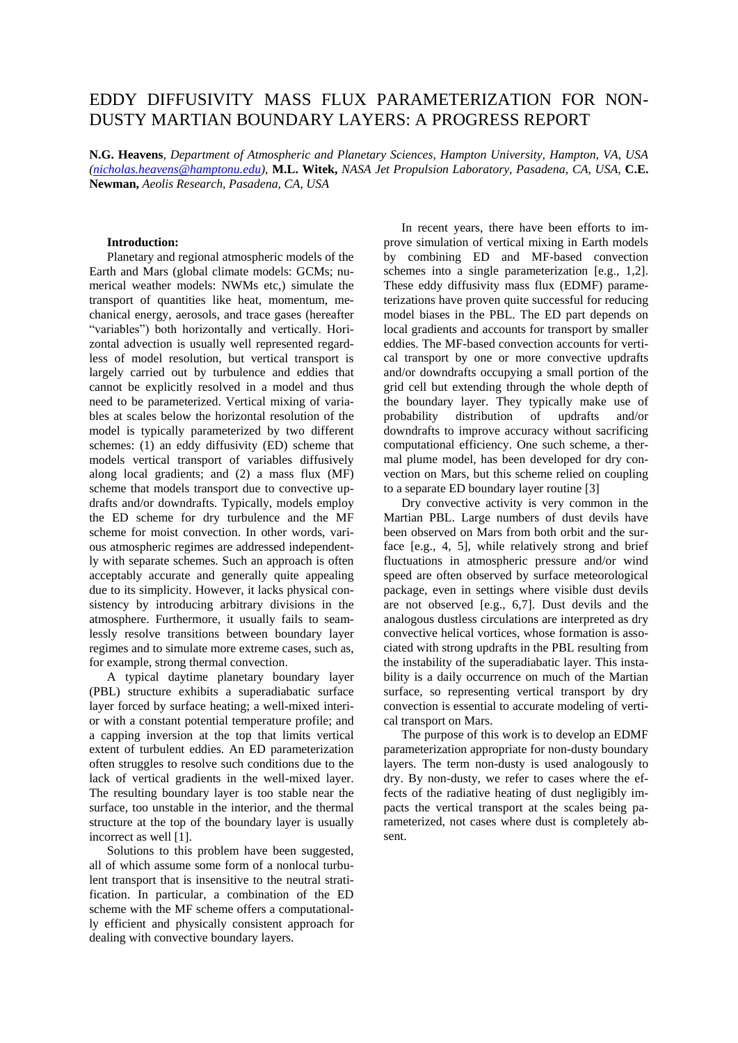# EDDY DIFFUSIVITY MASS FLUX PARAMETERIZATION FOR NON-DUSTY MARTIAN BOUNDARY LAYERS: A PROGRESS REPORT

**N.G. Heavens**, *Department of Atmospheric and Planetary Sciences, Hampton University, Hampton, VA, USA [\(nicholas.heavens@hamptonu.edu\)](mailto:nicholas.heavens@hamptonu.edu)*, **M.L. Witek,** *NASA Jet Propulsion Laboratory, Pasadena, CA, USA,* **C.E. Newman,** *Aeolis Research, Pasadena, CA, USA* 

## **Introduction:**

Planetary and regional atmospheric models of the Earth and Mars (global climate models: GCMs; numerical weather models: NWMs etc,) simulate the transport of quantities like heat, momentum, mechanical energy, aerosols, and trace gases (hereafter "variables") both horizontally and vertically. Horizontal advection is usually well represented regardless of model resolution, but vertical transport is largely carried out by turbulence and eddies that cannot be explicitly resolved in a model and thus need to be parameterized. Vertical mixing of variables at scales below the horizontal resolution of the model is typically parameterized by two different schemes: (1) an eddy diffusivity (ED) scheme that models vertical transport of variables diffusively along local gradients; and (2) a mass flux (MF) scheme that models transport due to convective updrafts and/or downdrafts. Typically, models employ the ED scheme for dry turbulence and the MF scheme for moist convection. In other words, various atmospheric regimes are addressed independently with separate schemes. Such an approach is often acceptably accurate and generally quite appealing due to its simplicity. However, it lacks physical consistency by introducing arbitrary divisions in the atmosphere. Furthermore, it usually fails to seamlessly resolve transitions between boundary layer regimes and to simulate more extreme cases, such as, for example, strong thermal convection.

A typical daytime planetary boundary layer (PBL) structure exhibits a superadiabatic surface layer forced by surface heating; a well-mixed interior with a constant potential temperature profile; and a capping inversion at the top that limits vertical extent of turbulent eddies. An ED parameterization often struggles to resolve such conditions due to the lack of vertical gradients in the well-mixed layer. The resulting boundary layer is too stable near the surface, too unstable in the interior, and the thermal structure at the top of the boundary layer is usually incorrect as well [1].

Solutions to this problem have been suggested, all of which assume some form of a nonlocal turbulent transport that is insensitive to the neutral stratification. In particular, a combination of the ED scheme with the MF scheme offers a computationally efficient and physically consistent approach for dealing with convective boundary layers.

In recent years, there have been efforts to improve simulation of vertical mixing in Earth models by combining ED and MF-based convection schemes into a single parameterization [e.g., 1.2]. These eddy diffusivity mass flux (EDMF) parameterizations have proven quite successful for reducing model biases in the PBL. The ED part depends on local gradients and accounts for transport by smaller eddies. The MF-based convection accounts for vertical transport by one or more convective updrafts and/or downdrafts occupying a small portion of the grid cell but extending through the whole depth of the boundary layer. They typically make use of probability distribution of updrafts and/or downdrafts to improve accuracy without sacrificing computational efficiency. One such scheme, a thermal plume model, has been developed for dry convection on Mars, but this scheme relied on coupling to a separate ED boundary layer routine [3]

Dry convective activity is very common in the Martian PBL. Large numbers of dust devils have been observed on Mars from both orbit and the surface [e.g., 4, 5], while relatively strong and brief fluctuations in atmospheric pressure and/or wind speed are often observed by surface meteorological package, even in settings where visible dust devils are not observed [e.g., 6,7]. Dust devils and the analogous dustless circulations are interpreted as dry convective helical vortices, whose formation is associated with strong updrafts in the PBL resulting from the instability of the superadiabatic layer. This instability is a daily occurrence on much of the Martian surface, so representing vertical transport by dry convection is essential to accurate modeling of vertical transport on Mars.

The purpose of this work is to develop an EDMF parameterization appropriate for non-dusty boundary layers. The term non-dusty is used analogously to dry. By non-dusty, we refer to cases where the effects of the radiative heating of dust negligibly impacts the vertical transport at the scales being parameterized, not cases where dust is completely absent.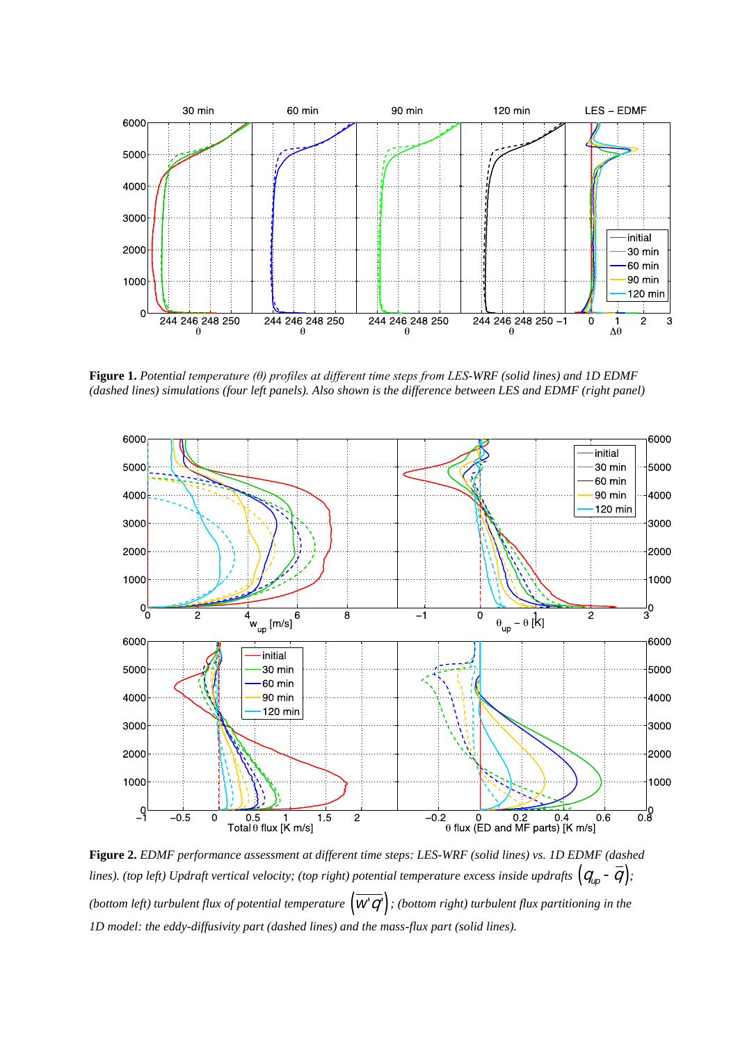

**Figure 1.** *Potential temperature (θ) profiles at different time steps from LES-WRF (solid lines) and 1D EDMF (dashed lines) simulations (four left panels). Also shown is the difference between LES and EDMF (right panel)*



**Figure 2.** *EDMF performance assessment at different time steps: LES-WRF (solid lines) vs. 1D EDMF (dashed*  lines). (top left) Updraft vertical velocity; (top right) potential temperature excess inside updrafts  $(q_{up}$  –  $\overline{q})$ ; (bottom left) turbulent flux of potential temperature  $(w'q')$  ; (bottom right) turbulent flux partitioning in the *1D model: the eddy-diffusivity part (dashed lines) and the mass-flux part (solid lines).*